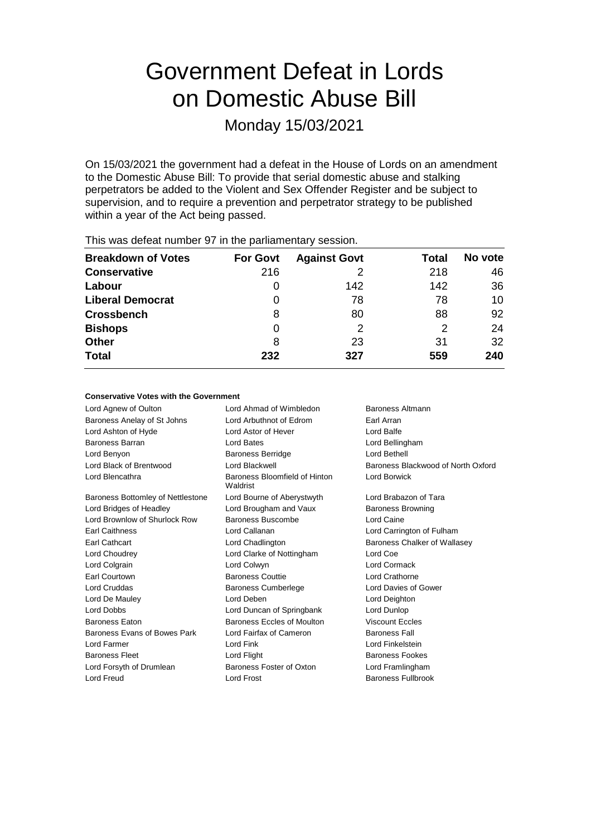# Government Defeat in Lords on Domestic Abuse Bill

Monday 15/03/2021

On 15/03/2021 the government had a defeat in the House of Lords on an amendment to the Domestic Abuse Bill: To provide that serial domestic abuse and stalking perpetrators be added to the Violent and Sex Offender Register and be subject to supervision, and to require a prevention and perpetrator strategy to be published within a year of the Act being passed.

| This was abloat harmon of the the parliamentary occolor. |                 |                     |       |         |  |
|----------------------------------------------------------|-----------------|---------------------|-------|---------|--|
| <b>Breakdown of Votes</b>                                | <b>For Govt</b> | <b>Against Govt</b> | Total | No vote |  |
| <b>Conservative</b>                                      | 216             |                     | 218   | 46      |  |
| Labour                                                   |                 | 142                 | 142   | 36      |  |
| <b>Liberal Democrat</b>                                  | 0               | 78                  | 78    | 10      |  |
| <b>Crossbench</b>                                        | 8               | 80                  | 88    | 92      |  |
| <b>Bishops</b>                                           | 0               | 2                   | 2     | 24      |  |
| <b>Other</b>                                             | 8               | 23                  | 31    | 32      |  |
| <b>Total</b>                                             | 232             | 327                 | 559   | 240     |  |
|                                                          |                 |                     |       |         |  |

This was defeat number 97 in the parliamentary session.

### **Conservative Votes with the Government**

Lord Agnew of Oulton **Lord Ahmad of Wimbledon** Baroness Altmann Baroness Anelay of St Johns Lord Arbuthnot of Edrom Earl Arran Lord Ashton of Hyde Lord Astor of Hever Lord Balfe Baroness Barran Lord Bates Lord Bellingham Lord Benyon Baroness Berridge Lord Bethell Lord Black of Brentwood Lord Blackwell Baroness Blackwood of North Oxford Lord Blencathra **Baroness** Bloomfield of Hinton Waldrist Lord Borwick Baroness Bottomley of Nettlestone Lord Bourne of Aberystwyth Lord Brabazon of Tara Lord Bridges of Headley **Lord Brougham and Vaux** Baroness Browning Lord Brownlow of Shurlock Row Baroness Buscombe Lord Caine Earl Caithness Lord Callanan Lord Carrington of Fulham Earl Cathcart **Lord Chadlington** Baroness Chalker of Wallasey Lord Choudrey Lord Clarke of Nottingham Lord Coe Lord Colgrain Lord Colwyn Lord Cormack Earl Courtown Baroness Couttie Lord Crathorne Lord Cruddas **Baroness Cumberlege** Lord Davies of Gower Lord De Mauley Lord Deben Lord Deighton Lord Dobbs Lord Duncan of Springbank Lord Dunlop Baroness Eaton Baroness Eccles of Moulton Viscount Eccles Baroness Evans of Bowes Park Lord Fairfax of Cameron Baroness Fall Lord Farmer Lord Fink Lord Finkelstein Baroness Fleet **Lord Flight** Baroness Fookes Lord Forsyth of Drumlean Baroness Foster of Oxton Lord Framlingham Lord Freud Lord Frost Baroness Fullbrook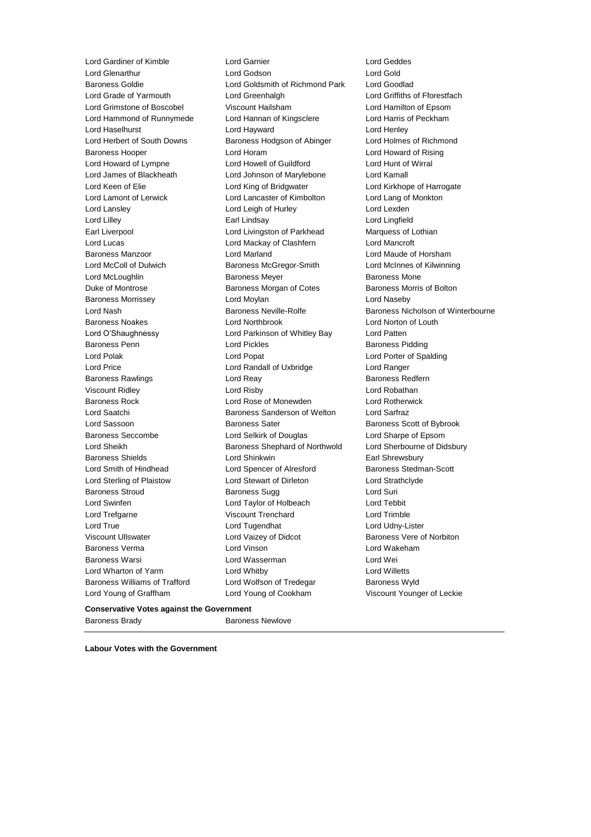Lord Gardiner of Kimble Lord Garnier Lord Geddes Lord Glenarthur Lord Cord Godson Lord Gold<br>
Lord Gold Lord Gold Lord Goldsmith of Richmond Park Lord Goodlad Lord Goldsmith of Richmond Park Lord Grade of Yarmouth Lord Greenhalgh Lord Griffiths of Fforestfach Lord Grimstone of Boscobel Viscount Hailsham Lord Hamilton of Epsom Lord Hammond of Runnymede Lord Hannan of Kingsclere Lord Harris of Peckham Lord Haselhurst Lord Hayward Lord Henley Lord Herbert of South Downs Baroness Hodgson of Abinger Lord Holmes of Richmond Baroness Hooper Lord Horam Lord Howard of Rising Lord Howard of Lympne Lord Howell of Guildford Lord Hunt of Wirral Lord James of Blackheath Lord Johnson of Marylebone Lord Kamall Lord Keen of Elie Lord King of Bridgwater Lord Kirkhope of Harrogate Lord Lamont of Lerwick Lord Lancaster of Kimbolton Lord Lang of Monkton Lord Lansley Lord Leigh of Hurley Lord Lexden Lord Lilley Earl Lindsay Lord Lingfield Earl Liverpool **Lord Livingston of Parkhead** Marquess of Lothian Lord Lucas Lord Mackay of Clashfern Lord Mancroft Baroness Manzoor Lord Marland Lord Maude of Horsham Lord McColl of Dulwich Baroness McGregor-Smith Lord McInnes of Kilwinning Lord McLoughlin **Baroness Meyer** Baroness Meyer **Baroness Mone** Duke of Montrose Baroness Morgan of Cotes Baroness Morris of Bolton Baroness Morrissey Lord Moylan Lord Naseby Lord Nash Baroness Neville-Rolfe Baroness Nicholson of Winterbourne Baroness Noakes Lord Northbrook Lord Norton of Louth Lord O'Shaughnessy Lord Parkinson of Whitley Bay Lord Patten Baroness Penn **Exercise Setter Serverse Lord Pickles** Baroness Pidding Baroness Pidding Lord Polak Lord Popat Lord Porter of Spalding Lord Price Lord Randall of Uxbridge Lord Ranger Baroness Rawlings **Example 2** Lord Reay **Baroness Redfern** Baroness Redfern Viscount Ridley Lord Risby Lord Robathan Baroness Rock Lord Rose of Monewden Lord Rotherwick Lord Saatchi **Baroness Sanderson of Welton** Lord Sarfraz Lord Sassoon **Baroness Sater** Baroness Scott of Bybrook Baroness Seccombe Lord Selkirk of Douglas Lord Sharpe of Epsom Lord Sheikh **Baroness Shephard of Northwold** Lord Sherbourne of Didsbury Baroness Shields **Earl Shinkwin** Lord Shinkwin **Earl Shrewsbury** Lord Smith of Hindhead Lord Spencer of Alresford Baroness Stedman-Scott Lord Sterling of Plaistow Lord Stewart of Dirleton Lord Strathclyde Baroness Stroud **Baroness Sugg Community** Baroness Sugg Lord Suri Lord Swinfen Lord Taylor of Holbeach Lord Tebbit Lord Trefgarne Viscount Trenchard Lord Trimble Lord True Lord Tugendhat Lord Udny-Lister Viscount Ullswater Lord Vaizey of Didcot Baroness Vere of Norbiton Baroness Verma Lord Vinson Lord Wakeham Baroness Warsi Lord Wasserman Lord Wei Lord Wharton of Yarm Lord Whitby Lord Willetts Baroness Williams of Trafford Lord Wolfson of Tredegar Baroness Wyld Lord Young of Graffham Lord Young of Cookham Viscount Younger of Leckie

**Conservative Votes against the Government**

Baroness Brady Baroness Newlove

**Labour Votes with the Government**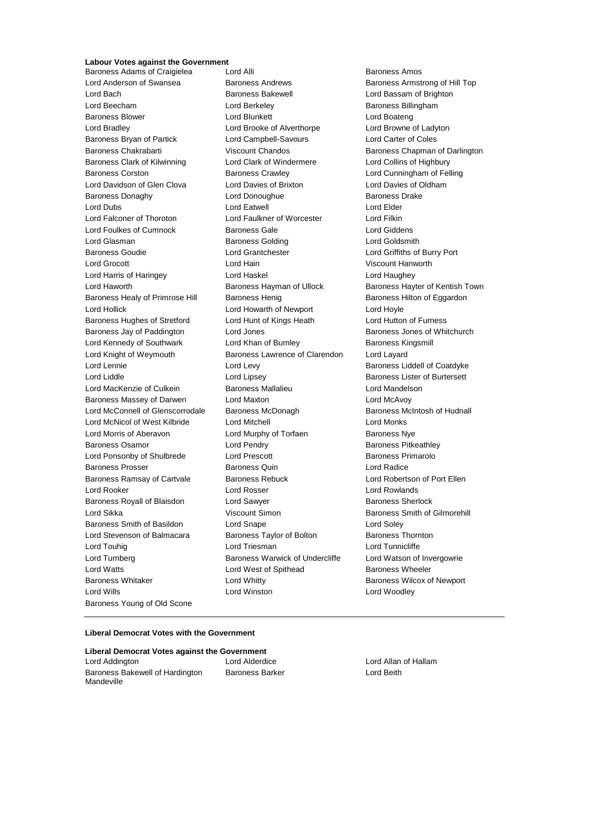# **Labour Votes against the Government**

Baroness Adams of Craigielea Lord Alli **Baroness Amos** Baroness Amos Lord Anderson of Swansea Baroness Andrews Baroness Armstrong of Hill Top Lord Bach Baroness Bakewell Lord Bassam of Brighton Lord Beecham **Lord Berkeley Baroness Billingham** Baroness Blower Lord Blunkett Lord Boateng Lord Bradley Lord Brooke of Alverthorpe Lord Browne of Ladyton Baroness Bryan of Partick Lord Campbell-Savours Lord Carter of Coles Baroness Chakrabarti **Viscount Chandos** Baroness Chapman of Darlington Baroness Clark of Kilwinning Lord Clark of Windermere Lord Collins of Highbury Baroness Corston Baroness Crawley Lord Cunningham of Felling Lord Davidson of Glen Clova Lord Davies of Brixton Lord Davies of Oldham Baroness Donaghy **Lord Donoughue Baroness Drake** Baroness Drake Lord Dubs Lord Eatwell Lord Elder Lord Falconer of Thoroton Lord Faulkner of Worcester Lord Filkin Lord Foulkes of Cumnock Baroness Gale Lord Giddens Lord Glasman Baroness Golding Lord Goldsmith Baroness Goudie Lord Grantchester Lord Griffiths of Burry Port Lord Grocott Lord Hain Viscount Hanworth Lord Harris of Haringey Lord Haskel Lord Haughey Lord Haworth **Baroness Hayman of Ullock** Baroness Hayter of Kentish Town Baroness Healy of Primrose Hill Baroness Henig Baroness Hilton of Eggardon Lord Hollick Lord Howarth of Newport Lord Hoyle Baroness Hughes of Stretford Lord Hunt of Kings Heath Lord Hutton of Furness Baroness Jay of Paddington **Lord Jones Baroness Jones of Whitchurch** Baroness Jones of Whitchurch Lord Kennedy of Southwark Lord Khan of Burnley Baroness Kingsmill Lord Knight of Weymouth Baroness Lawrence of Clarendon Lord Layard Lord Lennie **Lord Levy** Lord Levy **Baroness Liddell of Coatdyke** Lord Liddle **Lord Lipsey** Lord Lipsey **Baroness Lister of Burtersett** Lord MacKenzie of Culkein Baroness Mallalieu Lord Mandelson Baroness Massey of Darwen Lord Maxton Lord McAvoy Lord McConnell of Glenscorrodale Baroness McDonagh Baroness Mc Baroness McIntosh of Hudnall Lord McNicol of West Kilbride Lord Mitchell Lord Monks Lord Morris of Aberavon **Lord Murphy of Torfaen** Baroness Nye Baroness Osamor **Baroness Community** Lord Pendry **Baroness Pitkeathley** Lord Ponsonby of Shulbrede Lord Prescott Baroness Primarolo Baroness Prosser Baroness Quin Lord Radice Baroness Ramsay of Cartvale Baroness Rebuck Lord Robertson of Port Ellen Lord Rooker Lord Rosser Lord Rowlands Baroness Royall of Blaisdon Lord Sawyer **Baroness Sherlock** Baroness Sherlock Lord Sikka **Viscount Simon** Baroness Smith of Gilmorehill Baroness Smith of Basildon Lord Snape Lord Soley Lord Stevenson of Balmacara Baroness Taylor of Bolton Baroness Thornton Lord Touhig **Lord Triesman** Lord Triesman Lord Tunnicliffe Lord Turnberg **Baroness Warwick of Undercliffe** Lord Watson of Invergowrie Lord Watts **Lord West of Spithead** Baroness Wheeler Baroness Whitaker **Lord Whitty Communist Communist Communist Communist Communist Communist Communist Communist Communist Communist Communist Communist Communist Communist Communist Communist Communist Communist Communist** Lord Wills Lord Winston Lord Woodley Baroness Young of Old Scone

#### **Liberal Democrat Votes with the Government**

**Liberal Democrat Votes against the Government** Lord Addington Lord Alderdice Lord Allan of Hallam Baroness Bakewell of Hardington Mandeville

Baroness Barker **Lord Beith**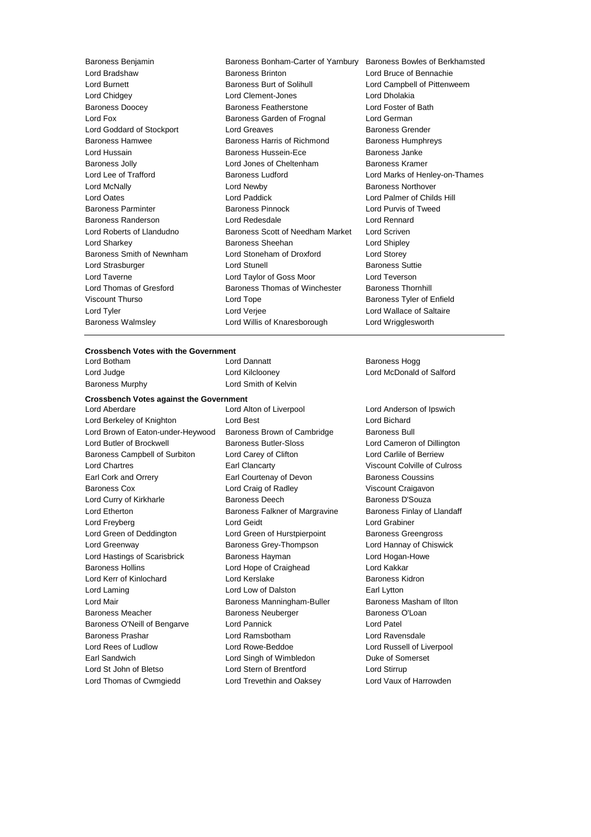Baroness Benjamin Baroness Bonham-Carter of Yarnbury Baroness Bowles of Berkhamsted Lord Bradshaw Baroness Brinton Lord Bruce of Bennachie Lord Burnett **Baroness Burt of Solihull** Lord Campbell of Pittenweem Lord Chidgey Lord Clement-Jones Lord Dholakia Baroness Doocey Baroness Featherstone Lord Foster of Bath Lord Fox Baroness Garden of Frognal Lord German Lord Goddard of Stockport Lord Greaves **Baroness Grender** Baroness Hamwee **Baroness Harris of Richmond** Baroness Humphreys Lord Hussain **Baroness Hussein-Ece** Baroness Janke Baroness Jolly Lord Jones of Cheltenham Baroness Kramer Lord Lee of Trafford **Baroness Ludford** Lord Marks of Henley-on-Thames Lord McNally **Lord Newby Baroness Northover** Lord Oates Lord Paddick Lord Palmer of Childs Hill Baroness Parminter Baroness Pinnock Lord Purvis of Tweed Baroness Randerson Lord Redesdale Lord Rennard Lord Roberts of Llandudno Baroness Scott of Needham Market Lord Scriven Lord Sharkey Baroness Sheehan Lord Shipley Baroness Smith of Newnham Lord Stoneham of Droxford Lord Storey Lord Strasburger **Lord Stunell** Baroness Suttie Lord Taverne Lord Taylor of Goss Moor Lord Teverson Lord Thomas of Gresford Baroness Thomas of Winchester Baroness Thornhill Viscount Thurso **Communist Contract Contract Contract Contract Contract Contract Contract Contract Contract Contract Contract Contract Contract Contract Contract Contract Contract Contract Contract Contract Contract Contra** Lord Tyler Lord Verjee Lord Wallace of Saltaire Baroness Walmsley Lord Willis of Knaresborough Lord Wrigglesworth

#### **Crossbench Votes with the Government**

Lord Botham **Lord Dannatt Baroness Hogg Baroness Hogg** Baroness Murphy **Lord Smith of Kelvin** 

#### **Crossbench Votes against the Government**

Lord Berkeley of Knighton Lord Best Lord Bichard Lord Brown of Eaton-under-Heywood Baroness Brown of Cambridge Baroness Bull Lord Butler of Brockwell **Baroness Butler-Sloss** Lord Cameron of Dillington Baroness Campbell of Surbiton Lord Carey of Clifton Lord Carlile of Berriew Lord Chartres Earl Clancarty Viscount Colville of Culross Earl Cork and Orrery Earl Courtenay of Devon Baroness Coussins Baroness Cox Lord Craig of Radley Viscount Craigavon Lord Curry of Kirkharle **Baroness Deech** Baroness Deech Baroness D'Souza Lord Etherton **Baroness Falkner of Margravine** Baroness Finlay of Llandaff Lord Freyberg Lord Geidt Lord Grabiner Lord Green of Deddington Lord Green of Hurstpierpoint Baroness Greengross Lord Greenway Baroness Grey-Thompson Lord Hannay of Chiswick Lord Hastings of Scarisbrick Baroness Hayman Lord Hogan-Howe Baroness Hollins Lord Hope of Craighead Lord Kakkar Lord Kerr of Kinlochard Lord Kerslake Baroness Kidron Lord Laming **Lord Low of Dalston** Earl Lytton Lord Mair **Baroness Manningham-Buller** Baroness Masham of Ilton Baroness Meacher **Baroness Neuberger** Baroness O'Loan Baroness O'Neill of Bengarve Lord Pannick Lord Patel Baroness Prashar Lord Ramsbotham Lord Ravensdale Lord Rees of Ludlow **Lord Rowe-Beddoe Lord Russell of Liverpool** Earl Sandwich Lord Singh of Wimbledon Duke of Somerset Lord St John of Bletso Lord Stern of Brentford Lord Stirrup Lord Thomas of Cwmgiedd Lord Trevethin and Oaksey Lord Vaux of Harrowden

Lord Aberdare Lord Alton of Liverpool Lord Anderson of Ipswich

Lord Judge Lord Kilclooney Lord McDonald of Salford